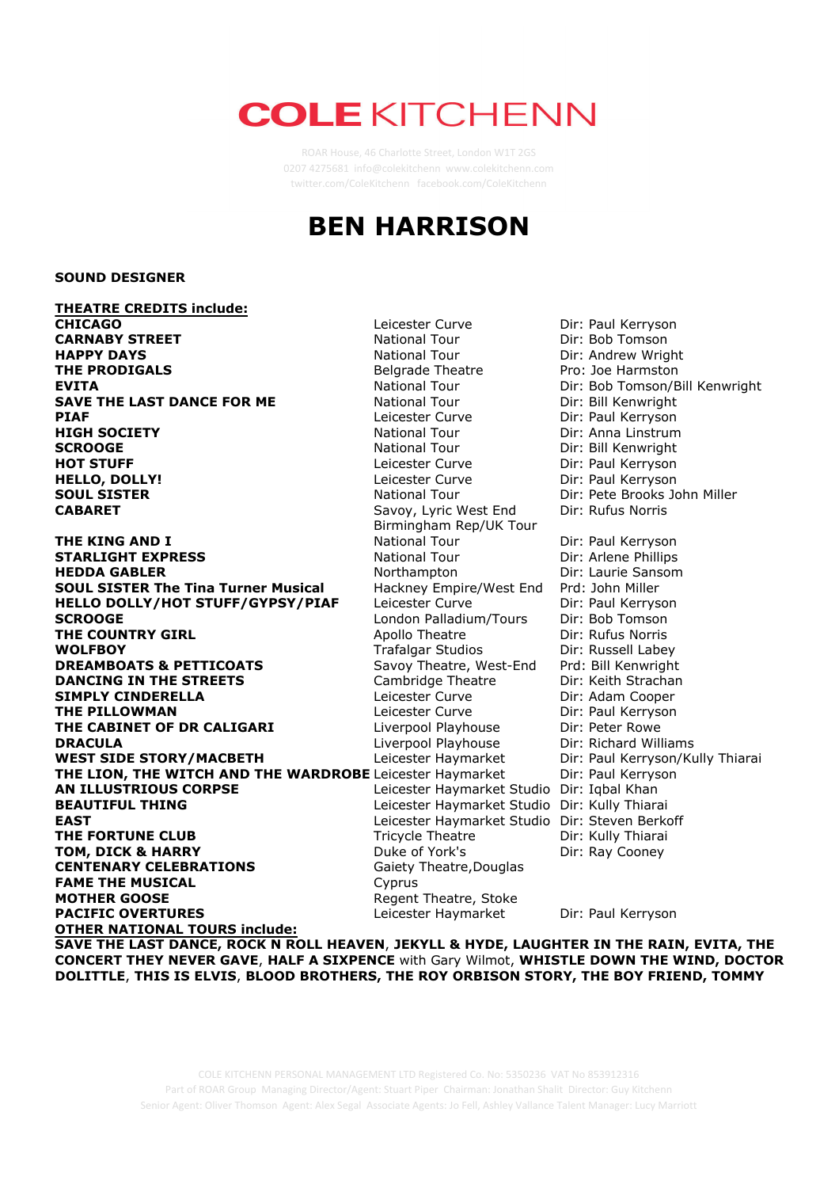# **COLE KITCHENN**

twitter.com/ColeKitchenn facebook.com/ColeKitchenn

## **BEN HARRISON**

#### **SOUND DESIGNER**

**THEATRE CREDITS include: CHICAGO** Leicester Curve Dir: Paul Kerryson<br>
CARNABY STREET CARNABY STREET National Tour Dir: Bob Tomson **CARNABY STREET** National Tour Dir: Bob Tomson **HAPPY DAYS**<br> **THE PRODIGALS Example 20 Andrew Wright THE PRODIGALS Example 20 Andrew Wright Example 20 Andrew Wright**Belgrade Theatre **Example 20 Andrew Wright THE PRODIGALS THE PRODIGALS Belgrade Theatre** Pro: Joe Harmston **EVITA Belgrade Theatre** Pro: Joe Harmston **EVITA EVITA** National Tour Dir: Bob Tomson/Bill Kenwright **SAVE THE LAST DANCE FOR ME** National Tour Dir: Bill Kenwright **PIAF PIAF** Dir: Paul Kerryson **PIAF** Leicester Curve Dir: Paul Kerryson **HIGH SOCIETY Direct Curve** Direct Direct Paul Actional Tour **HIGH SOCIETY National Tour** Dir: Anna Linstrum **SCROOGE National Tour** Dir: Bill Kenwright **HOT STUFF Example 2018** Leicester Curve Dir: Paul Kerryson **HELLO, DOLLY!** Leicester Curve Dir: Paul Kerryson **SOUL SISTER** National Tour Dir: Pete Brooks John Miller **CABARET** Savoy, Lyric West End Dir: Rufus Norris CABARET

**THE KING AND I** National Tour Dir: Paul Kerryson **STARLIGHT EXPRESS**<br> **REDDA GABLER** National Tour Dir: Arlene Phillips<br>
Northampton Dir: Laurie Sanson **HEDDA GABLER HEDDA GABLER** Northampton Dir: Laurie Sansom<br>**SOUL SISTER The Tina Turner Musical** Hackney Empire/West End Prd: John Miller **SOUL SISTER The Tina Turner Musical HELLO DOLLY/HOT STUFF/GYPSY/PIAF** Leicester Curve Dir: Paul Kerryson **SCROOGE London Palladium/Tours** Dir: Bob Tomson **THE COUNTRY GIRL COUNTRY GIRL Apollo Theatre** Dir: Rufus Norris **WOLFBOY Trafalgar Studios** Dir: Russell Labey **WOLFBOY DREAMBOATS & PETTICOATS** Savoy Theatre, West-End Prd: Bill Kenwright **DANCING IN THE STREETS** Cambridge Theatre Dir: Keith Strachan **SIMPLY CINDERELLA COOPER LEGENS** Leicester Curve Dir: Adam Cooper **THE PILLOWMAN Leicester Curve** Dir: Paul Kerryson **THE CABINET OF DR CALIGARI** Liverpool Playhouse Dir: Peter Rowe **DRACULA CONSERVING CONSERVING CONSERVANCE CONSERVING DRACULA** Liverpool Playhouse Dir: Richard Williams **WEST SIDE STORY/MACBETH** Leicester Haymarket Dir: Paul Kerryson/Kully Thiarai **THE LION, THE WITCH AND THE WARDROBE** Leicester Haymarket Dir: Paul Kerryson<br>**AN ILLUSTRIOUS CORPSE** Leicester Haymarket Studio Dir: Inbal Khan **BEAUTIFUL THING** Leicester Haymarket Studio Dir: Kully Thiarai **EAST EAST Leicester Haymarket Studio Dir: Steven Berkoff THE FORTUNE CLUB** Tricycle Theatre Dir: Kully Thiarain **TOM, DICK & HARRY** Duke of York's Dir: Ray Cooney **CENTENARY CELEBRATIONS Gaiety Theatre, Douglas FAME THE MUSICAL** Cyprus **MOTHER GOOSE** Regent Theatre, Stoke **PACIFIC OVERTURES** Leicester Haymarket Dir: Paul Kerryson **OTHER NATIONAL TOURS include:**

Birmingham Rep/UK Tour Leicester Haymarket Studio Dir: Iqbal Khan

**SAVE THE LAST DANCE, ROCK N ROLL HEAVEN**, **JEKYLL & HYDE, LAUGHTER IN THE RAIN, EVITA, THE CONCERT THEY NEVER GAVE**, **HALF A SIXPENCE** with Gary Wilmot, **WHISTLE DOWN THE WIND, DOCTOR DOLITTLE**, **THIS IS ELVIS**, **BLOOD BROTHERS, THE ROY ORBISON STORY, THE BOY FRIEND, TOMMY**

COLE KITCHENN PERSONAL MANAGEMENT LTD Registered Co. No: 5350236 VAT No 853912316 **THANK YOU FOR THE MUSIC** UK Tour Dir: Keith Strachan Part of ROAR Group Managing Director/Agent: Stuart Piper Chairman: Jonathan Shalit Director: Guy Kitchenn Senior Agent: Oliver Thomson Agent: Alex Segal Associate Agents: Jo Fell, Ashley Vallance Talent Manager: Lucy Marriott